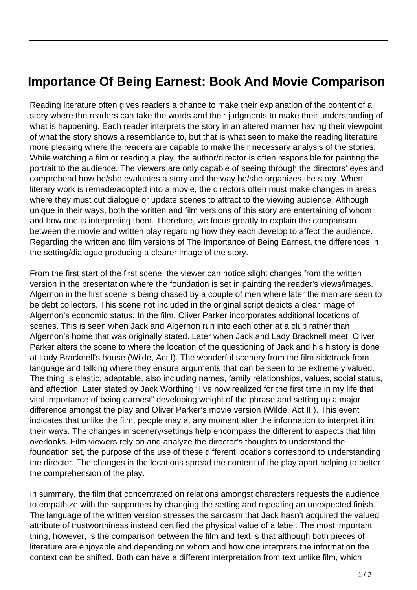## **Importance Of Being Earnest: Book And Movie Comparison**

Reading literature often gives readers a chance to make their explanation of the content of a story where the readers can take the words and their judgments to make their understanding of what is happening. Each reader interprets the story in an altered manner having their viewpoint of what the story shows a resemblance to, but that is what seen to make the reading literature more pleasing where the readers are capable to make their necessary analysis of the stories. While watching a film or reading a play, the author/director is often responsible for painting the portrait to the audience. The viewers are only capable of seeing through the directors' eyes and comprehend how he/she evaluates a story and the way he/she organizes the story. When literary work is remade/adopted into a movie, the directors often must make changes in areas where they must cut dialogue or update scenes to attract to the viewing audience. Although unique in their ways, both the written and film versions of this story are entertaining of whom and how one is interpreting them. Therefore, we focus greatly to explain the comparison between the movie and written play regarding how they each develop to affect the audience. Regarding the written and film versions of The Importance of Being Earnest, the differences in the setting/dialogue producing a clearer image of the story.

From the first start of the first scene, the viewer can notice slight changes from the written version in the presentation where the foundation is set in painting the reader's views/images. Algernon in the first scene is being chased by a couple of men where later the men are seen to be debt collectors. This scene not included in the original script depicts a clear image of Algernon's economic status. In the film, Oliver Parker incorporates additional locations of scenes. This is seen when Jack and Algernon run into each other at a club rather than Algernon's home that was originally stated. Later when Jack and Lady Bracknell meet, Oliver Parker alters the scene to where the location of the questioning of Jack and his history is done at Lady Bracknell's house (Wilde, Act I). The wonderful scenery from the film sidetrack from language and talking where they ensure arguments that can be seen to be extremely valued. The thing is elastic, adaptable, also including names, family relationships, values, social status, and affection. Later stated by Jack Worthing "I've now realized for the first time in my life that vital importance of being earnest" developing weight of the phrase and setting up a major difference amongst the play and Oliver Parker's movie version (Wilde, Act III). This event indicates that unlike the film, people may at any moment alter the information to interpret it in their ways. The changes in scenery/settings help encompass the different to aspects that film overlooks. Film viewers rely on and analyze the director's thoughts to understand the foundation set, the purpose of the use of these different locations correspond to understanding the director. The changes in the locations spread the content of the play apart helping to better the comprehension of the play.

In summary, the film that concentrated on relations amongst characters requests the audience to empathize with the supporters by changing the setting and repeating an unexpected finish. The language of the written version stresses the sarcasm that Jack hasn't acquired the valued attribute of trustworthiness instead certified the physical value of a label. The most important thing, however, is the comparison between the film and text is that although both pieces of literature are enjoyable and depending on whom and how one interprets the information the context can be shifted. Both can have a different interpretation from text unlike film, which